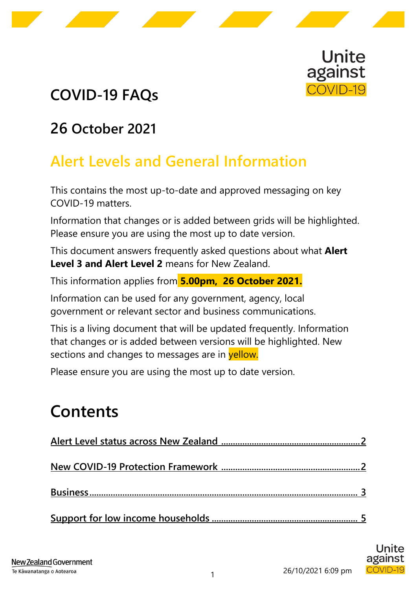

# **COVID-19 FAQs**

### **26 October 2021**

# **Alert Levels and General Information**

This contains the most up-to-date and approved messaging on key COVID-19 matters.

Information that changes or is added between grids will be highlighted. Please ensure you are using the most up to date version.

This document answers frequently asked questions about what **Alert Level 3 and Alert Level 2** means for New Zealand.

This information applies from **5.00pm, 26 October 2021.**

Information can be used for any government, agency, local government or relevant sector and business communications.

This is a living document that will be updated frequently. Information that changes or is added between versions will be highlighted. New sections and changes to messages are in yellow.

Please ensure you are using the most up to date version.

# **Contents**

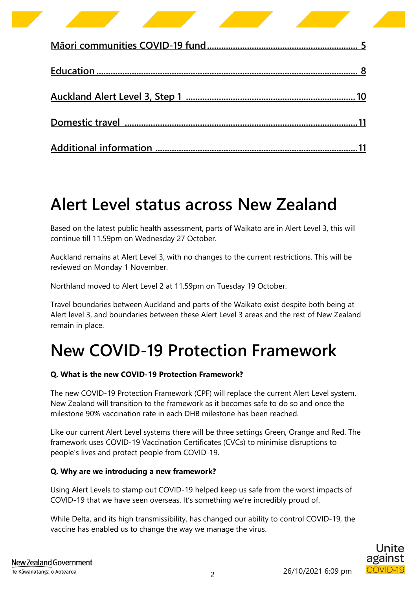# <span id="page-1-0"></span>**Alert Level status across New Zealand**

Based on the latest public health assessment, parts of Waikato are in Alert Level 3, this will continue till 11.59pm on Wednesday 27 October.

Auckland remains at Alert Level 3, with no changes to the current restrictions. This will be reviewed on Monday 1 November.

Northland moved to Alert Level 2 at 11.59pm on Tuesday 19 October.

Travel boundaries between Auckland and parts of the Waikato exist despite both being at Alert level 3, and boundaries between these Alert Level 3 areas and the rest of New Zealand remain in place.

# <span id="page-1-1"></span>**New COVID-19 Protection Framework**

### **Q. What is the new COVID-19 Protection Framework?**

The new COVID-19 Protection Framework (CPF) will replace the current Alert Level system. New Zealand will transition to the framework as it becomes safe to do so and once the milestone 90% vaccination rate in each DHB milestone has been reached.

Like our current Alert Level systems there will be three settings Green, Orange and Red. The framework uses COVID-19 Vaccination Certificates (CVCs) to minimise disruptions to people's lives and protect people from COVID-19.

### **Q. Why are we introducing a new framework?**

Using Alert Levels to stamp out COVID-19 helped keep us safe from the worst impacts of COVID-19 that we have seen overseas. It's something we're incredibly proud of.

While Delta, and its high transmissibility, has changed our ability to control COVID-19, the vaccine has enabled us to change the way we manage the virus.

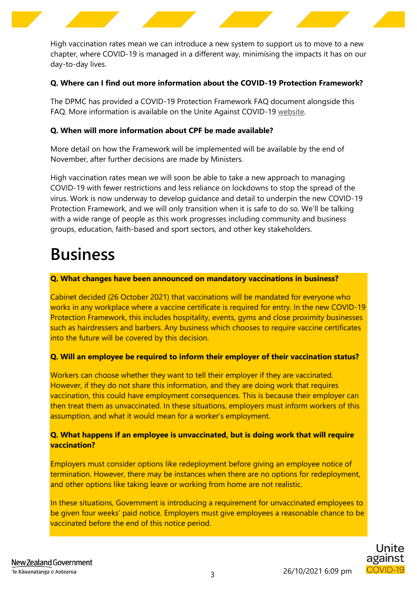

High vaccination rates mean we can introduce a new system to support us to move to a new chapter, where COVID-19 is managed in a different way, minimising the impacts it has on our day-to-day lives.

#### **Q. Where can I find out more information about the COVID-19 Protection Framework?**

The DPMC has provided a COVID-19 Protection Framework FAQ document alongside this FAQ. More information is available on the Unite Against COVID-19 [website.](https://covid19.govt.nz/alert-levels-and-updates/latest-updates/introducing-the-covid-19-protection-framework/)

#### **Q. When will more information about CPF be made available?**

More detail on how the Framework will be implemented will be available by the end of November, after further decisions are made by Ministers.

High vaccination rates mean we will soon be able to take a new approach to managing COVID-19 with fewer restrictions and less reliance on lockdowns to stop the spread of the virus. Work is now underway to develop guidance and detail to underpin the new COVID-19 Protection Framework, and we will only transition when it is safe to do so. We'll be talking with a wide range of people as this work progresses including community and business groups, education, faith-based and sport sectors, and other key stakeholders.

# <span id="page-2-0"></span>**Business**

#### **Q. What changes have been announced on mandatory vaccinations in business?**

Cabinet decided (26 October 2021) that vaccinations will be mandated for everyone who works in any workplace where a vaccine certificate is required for entry. In the new COVID-19 Protection Framework, this includes hospitality, events, gyms and close proximity businesses such as hairdressers and barbers. Any business which chooses to require vaccine certificates into the future will be covered by this decision.

#### **Q. Will an employee be required to inform their employer of their vaccination status?**

Workers can choose whether they want to tell their employer if they are vaccinated. However, if they do not share this information, and they are doing work that requires vaccination, this could have employment consequences. This is because their employer can then treat them as unvaccinated. In these situations, employers must inform workers of this assumption, and what it would mean for a worker's employment.

### **Q. What happens if an employee is unvaccinated, but is doing work that will require vaccination?**

Employers must consider options like redeployment before giving an employee notice of termination. However, there may be instances when there are no options for redeployment, and other options like taking leave or working from home are not realistic.

In these situations, Government is introducing a requirement for unvaccinated employees to be given four weeks' paid notice. Employers must give employees a reasonable chance to be vaccinated before the end of this notice period.

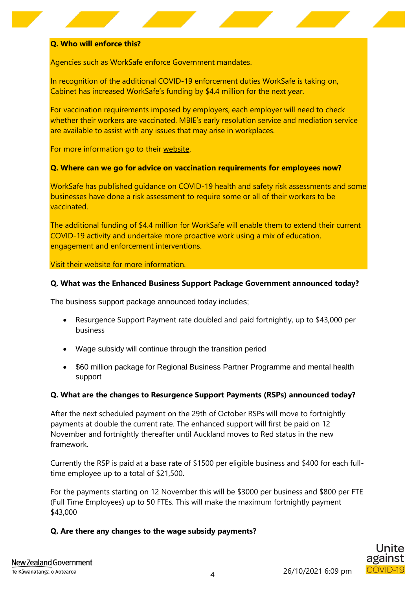#### **Q. Who will enforce this?**

Agencies such as WorkSafe enforce Government mandates.

In recognition of the additional COVID-19 enforcement duties WorkSafe is taking on, Cabinet has increased WorkSafe's funding by \$4.4 million for the next year.

For vaccination requirements imposed by employers, each employer will need to check whether their workers are vaccinated. MBIE's early resolution service and mediation service are available to assist with any issues that may arise in workplaces.

For more information go to their [website.](https://www.mbie.govt.nz/)

#### **Q. Where can we go for advice on vaccination requirements for employees now?**

WorkSafe has published guidance on COVID-19 health and safety risk assessments and some businesses have done a risk assessment to require some or all of their workers to be vaccinated.

The additional funding of \$4.4 million for WorkSafe will enable them to extend their current COVID-19 activity and undertake more proactive work using a mix of education, engagement and enforcement interventions.

Visit their [website](https://www.worksafe.govt.nz/managing-health-and-safety/novel-coronavirus-covid/) for more information.

#### **Q. What was the Enhanced Business Support Package Government announced today?**

The business support package announced today includes;

- Resurgence Support Payment rate doubled and paid fortnightly, up to \$43,000 per business
- Wage subsidy will continue through the transition period
- \$60 million package for Regional Business Partner Programme and mental health support

#### **Q. What are the changes to Resurgence Support Payments (RSPs) announced today?**

After the next scheduled payment on the 29th of October RSPs will move to fortnightly payments at double the current rate. The enhanced support will first be paid on 12 November and fortnightly thereafter until Auckland moves to Red status in the new framework.

Currently the RSP is paid at a base rate of \$1500 per eligible business and \$400 for each fulltime employee up to a total of \$21,500.

For the payments starting on 12 November this will be \$3000 per business and \$800 per FTE (Full Time Employees) up to 50 FTEs. This will make the maximum fortnightly payment \$43,000

#### **Q. Are there any changes to the wage subsidy payments?**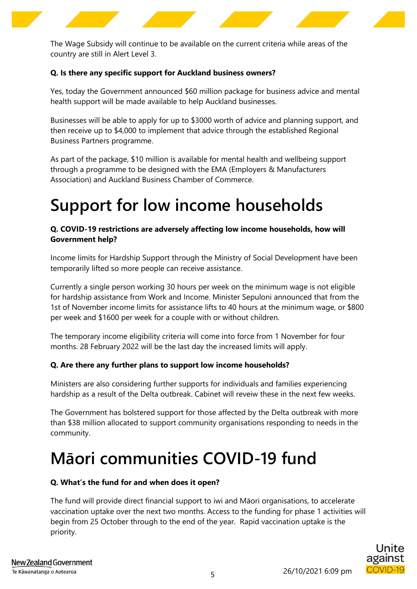

The Wage Subsidy will continue to be available on the current criteria while areas of the country are still in Alert Level 3.

#### **Q. Is there any specific support for Auckland business owners?**

Yes, today the Government announced \$60 million package for business advice and mental health support will be made available to help Auckland businesses.

Businesses will be able to apply for up to \$3000 worth of advice and planning support, and then receive up to \$4,000 to implement that advice through the established Regional Business Partners programme.

As part of the package, \$10 million is available for mental health and wellbeing support through a programme to be designed with the EMA (Employers & Manufacturers Association) and Auckland Business Chamber of Commerce.

# <span id="page-4-0"></span>**Support for low income households**

### **Q. COVID-19 restrictions are adversely affecting low income households, how will Government help?**

Income limits for Hardship Support through the Ministry of Social Development have been temporarily lifted so more people can receive assistance.

Currently a single person working 30 hours per week on the minimum wage is not eligible for hardship assistance from Work and Income. Minister Sepuloni announced that from the 1st of November income limits for assistance lifts to 40 hours at the minimum wage, or \$800 per week and \$1600 per week for a couple with or without children.

The temporary income eligibility criteria will come into force from 1 November for four months. 28 February 2022 will be the last day the increased limits will apply.

### **Q. Are there any further plans to support low income households?**

Ministers are also considering further supports for individuals and families experiencing hardship as a result of the Delta outbreak. Cabinet will reveiw these in the next few weeks.

The Government has bolstered support for those affected by the Delta outbreak with more than \$38 million allocated to support community organisations responding to needs in the community.

# <span id="page-4-1"></span>**Māori communities COVID-19 fund**

#### **Q. What's the fund for and when does it open?**

The fund will provide direct financial support to iwi and Māori organisations, to accelerate vaccination uptake over the next two months. Access to the funding for phase 1 activities will begin from 25 October through to the end of the year. Rapid vaccination uptake is the priority.

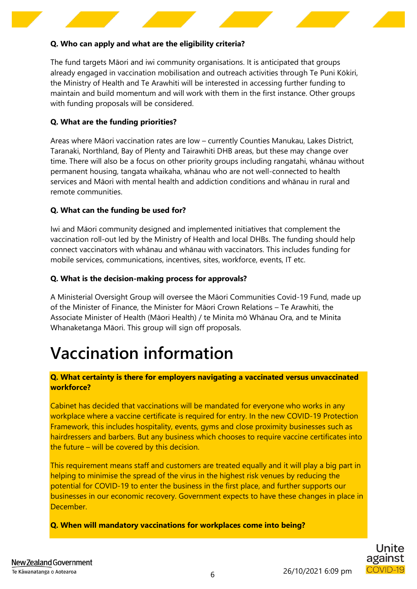### **Q. Who can apply and what are the eligibility criteria?**

The fund targets Māori and iwi community organisations. It is anticipated that groups already engaged in vaccination mobilisation and outreach activities through Te Puni Kōkiri, the Ministry of Health and Te Arawhiti will be interested in accessing further funding to maintain and build momentum and will work with them in the first instance. Other groups with funding proposals will be considered.

#### **Q. What are the funding priorities?**

Areas where Māori vaccination rates are low – currently Counties Manukau, Lakes District, Taranaki, Northland, Bay of Plenty and Tairawhiti DHB areas, but these may change over time. There will also be a focus on other priority groups including rangatahi, whānau without permanent housing, tangata whaikaha, whānau who are not well-connected to health services and Māori with mental health and addiction conditions and whānau in rural and remote communities.

### **Q. What can the funding be used for?**

Iwi and Māori community designed and implemented initiatives that complement the vaccination roll-out led by the Ministry of Health and local DHBs. The funding should help connect vaccinators with whānau and whānau with vaccinators. This includes funding for mobile services, communications, incentives, sites, workforce, events, IT etc.

#### **Q. What is the decision-making process for approvals?**

A Ministerial Oversight Group will oversee the Māori Communities Covid-19 Fund, made up of the Minister of Finance, the Minister for Māori Crown Relations – Te Arawhiti, the Associate Minister of Health (Māori Health) / te Minita mō Whānau Ora, and te Minita Whanaketanga Māori. This group will sign off proposals.

# **Vaccination information**

#### **Q. What certainty is there for employers navigating a vaccinated versus unvaccinated workforce?**

Cabinet has decided that vaccinations will be mandated for everyone who works in any workplace where a vaccine certificate is required for entry. In the new COVID-19 Protection Framework, this includes hospitality, events, gyms and close proximity businesses such as hairdressers and barbers. But any business which chooses to require vaccine certificates into the future – will be covered by this decision.

This requirement means staff and customers are treated equally and it will play a big part in helping to minimise the spread of the virus in the highest risk venues by reducing the potential for COVID-19 to enter the business in the first place, and further supports our businesses in our economic recovery. Government expects to have these changes in place in December.

**Q. When will mandatory vaccinations for workplaces come into being?**

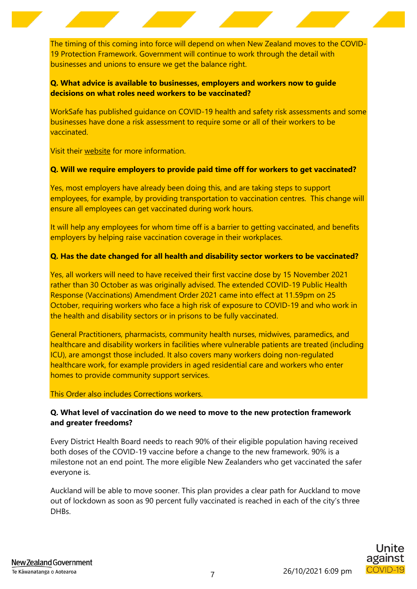The timing of this coming into force will depend on when New Zealand moves to the COVID-19 Protection Framework. Government will continue to work through the detail with businesses and unions to ensure we get the balance right.

### **Q. What advice is available to businesses, employers and workers now to guide decisions on what roles need workers to be vaccinated?**

WorkSafe has published guidance on COVID-19 health and safety risk assessments and some businesses have done a risk assessment to require some or all of their workers to be vaccinated.

Visit their [website](https://www.worksafe.govt.nz/managing-health-and-safety/novel-coronavirus-covid/) for more information.

#### **Q. Will we require employers to provide paid time off for workers to get vaccinated?**

Yes, most employers have already been doing this, and are taking steps to support employees, for example, by providing transportation to vaccination centres. This change will ensure all employees can get vaccinated during work hours.

It will help any employees for whom time off is a barrier to getting vaccinated, and benefits employers by helping raise vaccination coverage in their workplaces.

#### **Q. Has the date changed for all health and disability sector workers to be vaccinated?**

Yes, all workers will need to have received their first vaccine dose by 15 November 2021 rather than 30 October as was originally advised. The extended COVID-19 Public Health Response (Vaccinations) Amendment Order 2021 came into effect at 11.59pm on 25 October, requiring workers who face a high risk of exposure to COVID-19 and who work in the health and disability sectors or in prisons to be fully vaccinated.

General Practitioners, pharmacists, community health nurses, midwives, paramedics, and healthcare and disability workers in facilities where vulnerable patients are treated (including ICU), are amongst those included. It also covers many workers doing non-regulated healthcare work, for example providers in aged residential care and workers who enter homes to provide community support services.

This Order also includes Corrections workers.

### **Q. What level of vaccination do we need to move to the new protection framework and greater freedoms?**

Every District Health Board needs to reach 90% of their eligible population having received both doses of the COVID-19 vaccine before a change to the new framework. 90% is a milestone not an end point. The more eligible New Zealanders who get vaccinated the safer everyone is.

Auckland will be able to move sooner. This plan provides a clear path for Auckland to move out of lockdown as soon as 90 percent fully vaccinated is reached in each of the city's three DH<sub>Bs</sub>

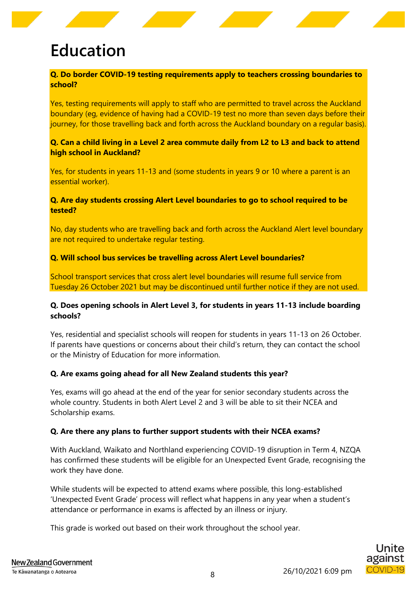# <span id="page-7-0"></span>**Education**

### **Q. Do border COVID-19 testing requirements apply to teachers crossing boundaries to school?**

Yes, testing requirements will apply to staff who are permitted to travel across the Auckland boundary (eg, evidence of having had a COVID-19 test no more than seven days before their journey, for those travelling back and forth across the Auckland boundary on a regular basis).

#### **Q. Can a child living in a Level 2 area commute daily from L2 to L3 and back to attend high school in Auckland?**

Yes, for students in years 11-13 and (some students in years 9 or 10 where a parent is an essential worker).

#### **Q. Are day students crossing Alert Level boundaries to go to school required to be tested?**

No, day students who are travelling back and forth across the Auckland Alert level boundary are not required to undertake regular testing.

#### **Q. Will school bus services be travelling across Alert Level boundaries?**

School transport services that cross alert level boundaries will resume full service from Tuesday 26 October 2021 but may be discontinued until further notice if they are not used.

### **Q. Does opening schools in Alert Level 3, for students in years 11-13 include boarding schools?**

Yes, residential and specialist schools will reopen for students in years 11-13 on 26 October. If parents have questions or concerns about their child's return, they can contact the school or the Ministry of Education for more information.

#### **Q. Are exams going ahead for all New Zealand students this year?**

Yes, exams will go ahead at the end of the year for senior secondary students across the whole country. Students in both Alert Level 2 and 3 will be able to sit their NCEA and Scholarship exams.

#### **Q. Are there any plans to further support students with their NCEA exams?**

With Auckland, Waikato and Northland experiencing COVID-19 disruption in Term 4, NZQA has confirmed these students will be eligible for an Unexpected Event Grade, recognising the work they have done.

While students will be expected to attend exams where possible, this long-established 'Unexpected Event Grade' process will reflect what happens in any year when a student's attendance or performance in exams is affected by an illness or injury.

This grade is worked out based on their work throughout the school year.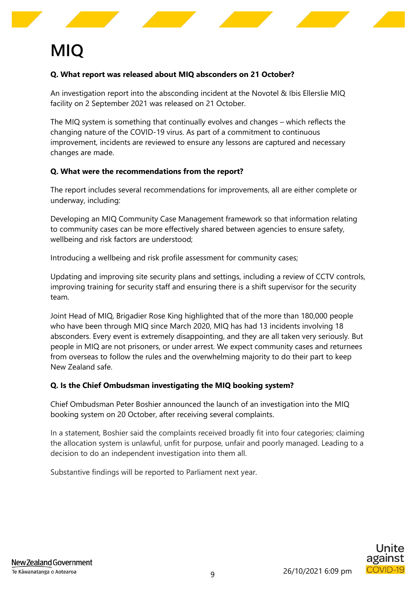# **MIQ**

### **Q. What report was released about MIQ absconders on 21 October?**

An investigation report into the absconding incident at the Novotel & Ibis Ellerslie MIQ facility on 2 September 2021 was released on 21 October.

The MIQ system is something that continually evolves and changes – which reflects the changing nature of the COVID-19 virus. As part of a commitment to continuous improvement, incidents are reviewed to ensure any lessons are captured and necessary changes are made.

#### **Q. What were the recommendations from the report?**

The report includes several recommendations for improvements, all are either complete or underway, including:

Developing an MIQ Community Case Management framework so that information relating to community cases can be more effectively shared between agencies to ensure safety, wellbeing and risk factors are understood;

Introducing a wellbeing and risk profile assessment for community cases;

Updating and improving site security plans and settings, including a review of CCTV controls, improving training for security staff and ensuring there is a shift supervisor for the security team.

Joint Head of MIQ, Brigadier Rose King highlighted that of the more than 180,000 people who have been through MIQ since March 2020, MIQ has had 13 incidents involving 18 absconders. Every event is extremely disappointing, and they are all taken very seriously. But people in MIQ are not prisoners, or under arrest. We expect community cases and returnees from overseas to follow the rules and the overwhelming majority to do their part to keep New Zealand safe.

#### **Q. Is the Chief Ombudsman investigating the MIQ booking system?**

Chief Ombudsman Peter Boshier announced the launch of an investigation into the MIQ booking system on 20 October, after receiving several complaints.

In a statement, Boshier said the complaints received broadly fit into four categories; claiming the allocation system is unlawful, unfit for purpose, unfair and poorly managed. Leading to a decision to do an independent investigation into them all.

Substantive findings will be reported to Parliament next year.

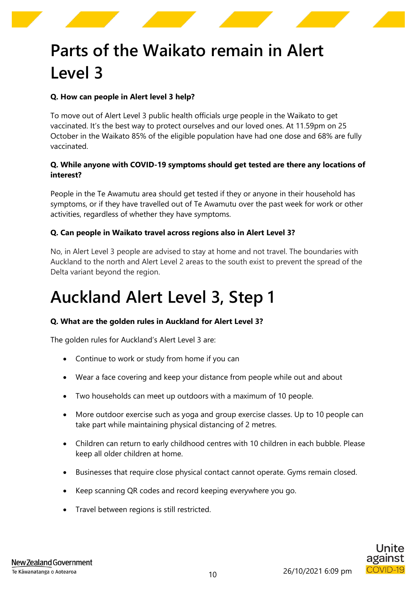

# **Parts of the Waikato remain in Alert Level 3**

### **Q. How can people in Alert level 3 help?**

To move out of Alert Level 3 public health officials urge people in the Waikato to get vaccinated. It's the best way to protect ourselves and our loved ones. At 11.59pm on 25 October in the Waikato 85% of the eligible population have had one dose and 68% are fully vaccinated.

#### **Q. While anyone with COVID-19 symptoms should get tested are there any locations of interest?**

People in the Te Awamutu area should get tested if they or anyone in their household has symptoms, or if they have travelled out of Te Awamutu over the past week for work or other activities, regardless of whether they have symptoms.

#### **Q. Can people in Waikato travel across regions also in Alert Level 3?**

No, in Alert Level 3 people are advised to stay at home and not travel. The boundaries with Auckland to the north and Alert Level 2 areas to the south exist to prevent the spread of the Delta variant beyond the region.

# <span id="page-9-0"></span>**Auckland Alert Level 3, Step 1**

#### **Q. What are the golden rules in Auckland for Alert Level 3?**

The golden rules for Auckland's Alert Level 3 are:

- Continue to work or study from home if you can
- Wear a face covering and keep your distance from people while out and about
- Two households can meet up outdoors with a maximum of 10 people.
- More outdoor exercise such as yoga and group exercise classes. Up to 10 people can take part while maintaining physical distancing of 2 metres.
- Children can return to early childhood centres with 10 children in each bubble. Please keep all older children at home.
- Businesses that require close physical contact cannot operate. Gyms remain closed.
- Keep scanning QR codes and record keeping everywhere you go.
- Travel between regions is still restricted.

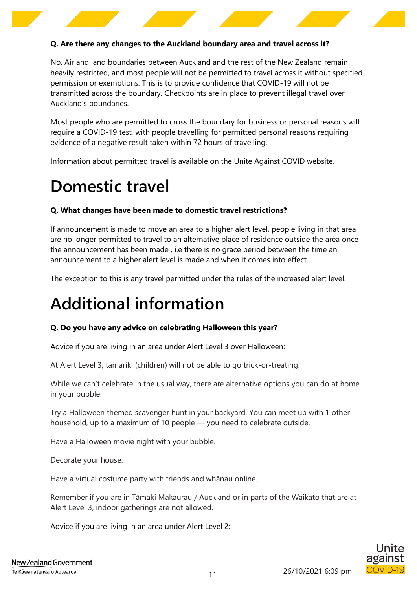#### **Q. Are there any changes to the Auckland boundary area and travel across it?**

No. Air and land boundaries between Auckland and the rest of the New Zealand remain heavily restricted, and most people will not be permitted to travel across it without specified permission or exemptions. This is to provide confidence that COVID-19 will not be transmitted across the boundary. Checkpoints are in place to prevent illegal travel over Auckland's boundaries.

Most people who are permitted to cross the boundary for business or personal reasons will require a COVID-19 test, with people travelling for permitted personal reasons requiring evidence of a negative result taken within 72 hours of travelling.

Information about permitted travel is available on the Unite Against COVID [website.](https://covid19.govt.nz/)

### <span id="page-10-0"></span>**Domestic travel**

#### **Q. What changes have been made to domestic travel restrictions?**

If announcement is made to move an area to a higher alert level, people living in that area are no longer permitted to travel to an alternative place of residence outside the area once the announcement has been made , i.e there is no grace period between the time an announcement to a higher alert level is made and when it comes into effect.

The exception to this is any travel permitted under the rules of the increased alert level.

# <span id="page-10-1"></span>**Additional information**

#### **Q. Do you have any advice on celebrating Halloween this year?**

Advice if you are living in an area under Alert Level 3 over Halloween:

At Alert Level 3, tamariki (children) will not be able to go trick-or-treating.

While we can't celebrate in the usual way, there are alternative options you can do at home in your bubble.

Try a Halloween themed scavenger hunt in your backyard. You can meet up with 1 other household, up to a maximum of 10 people — you need to celebrate outside.

Have a Halloween movie night with your bubble.

Decorate your house.

Have a virtual costume party with friends and whānau online.

Remember if you are in Tāmaki Makaurau / Auckland or in parts of the Waikato that are at Alert Level 3, indoor gatherings are not allowed.

Advice if you are living in an area under Alert Level 2: